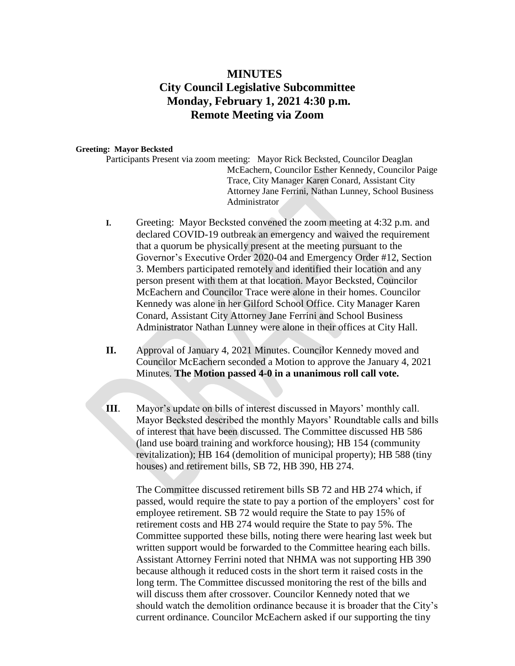## **MINUTES City Council Legislative Subcommittee Monday, February 1, 2021 4:30 p.m. Remote Meeting via Zoom**

## **Greeting: Mayor Becksted**

Participants Present via zoom meeting: Mayor Rick Becksted, Councilor Deaglan McEachern, Councilor Esther Kennedy, Councilor Paige Trace, City Manager Karen Conard, Assistant City Attorney Jane Ferrini, Nathan Lunney, School Business Administrator

- **I.** Greeting: Mayor Becksted convened the zoom meeting at 4:32 p.m. and declared COVID-19 outbreak an emergency and waived the requirement that a quorum be physically present at the meeting pursuant to the Governor's Executive Order 2020-04 and Emergency Order #12, Section 3. Members participated remotely and identified their location and any person present with them at that location. Mayor Becksted, Councilor McEachern and Councilor Trace were alone in their homes. Councilor Kennedy was alone in her Gilford School Office. City Manager Karen Conard, Assistant City Attorney Jane Ferrini and School Business Administrator Nathan Lunney were alone in their offices at City Hall.
- **II.** Approval of January 4, 2021 Minutes. Councilor Kennedy moved and Councilor McEachern seconded a Motion to approve the January 4, 2021 Minutes. **The Motion passed 4-0 in a unanimous roll call vote.**
- **III**. Mayor's update on bills of interest discussed in Mayors' monthly call. Mayor Becksted described the monthly Mayors' Roundtable calls and bills of interest that have been discussed. The Committee discussed HB 586 (land use board training and workforce housing); HB 154 (community revitalization); HB 164 (demolition of municipal property); HB 588 (tiny houses) and retirement bills, SB 72, HB 390, HB 274.

The Committee discussed retirement bills SB 72 and HB 274 which, if passed, would require the state to pay a portion of the employers' cost for employee retirement. SB 72 would require the State to pay 15% of retirement costs and HB 274 would require the State to pay 5%. The Committee supported these bills, noting there were hearing last week but written support would be forwarded to the Committee hearing each bills. Assistant Attorney Ferrini noted that NHMA was not supporting HB 390 because although it reduced costs in the short term it raised costs in the long term. The Committee discussed monitoring the rest of the bills and will discuss them after crossover. Councilor Kennedy noted that we should watch the demolition ordinance because it is broader that the City's current ordinance. Councilor McEachern asked if our supporting the tiny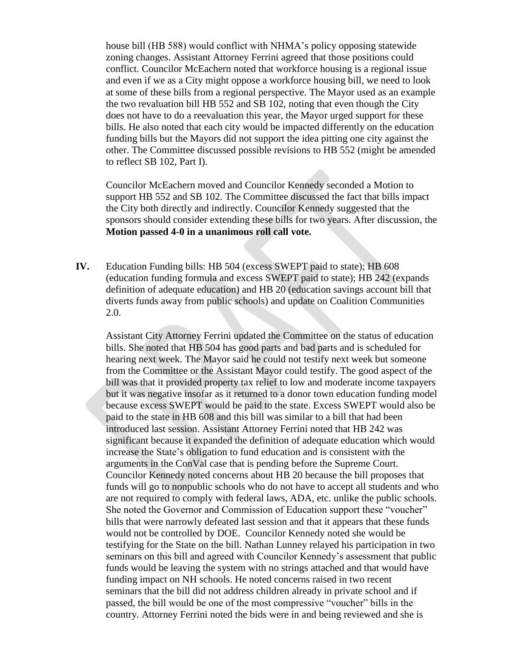house bill (HB 588) would conflict with NHMA's policy opposing statewide zoning changes. Assistant Attorney Ferrini agreed that those positions could conflict. Councilor McEachern noted that workforce housing is a regional issue and even if we as a City might oppose a workforce housing bill, we need to look at some of these bills from a regional perspective. The Mayor used as an example the two revaluation bill HB 552 and SB 102, noting that even though the City does not have to do a reevaluation this year, the Mayor urged support for these bills. He also noted that each city would be impacted differently on the education funding bills but the Mayors did not support the idea pitting one city against the other. The Committee discussed possible revisions to HB 552 (might be amended to reflect SB 102, Part I).

Councilor McEachern moved and Councilor Kennedy seconded a Motion to support HB 552 and SB 102. The Committee discussed the fact that bills impact the City both directly and indirectly. Councilor Kennedy suggested that the sponsors should consider extending these bills for two years. After discussion, the **Motion passed 4-0 in a unanimous roll call vote.**

**IV.** Education Funding bills: HB 504 (excess SWEPT paid to state); HB 608 (education funding formula and excess SWEPT paid to state); HB 242 (expands definition of adequate education) and HB 20 (education savings account bill that diverts funds away from public schools) and update on Coalition Communities 2.0.

Assistant City Attorney Ferrini updated the Committee on the status of education bills. She noted that HB 504 has good parts and bad parts and is scheduled for hearing next week. The Mayor said he could not testify next week but someone from the Committee or the Assistant Mayor could testify. The good aspect of the bill was that it provided property tax relief to low and moderate income taxpayers but it was negative insofar as it returned to a donor town education funding model because excess SWEPT would be paid to the state. Excess SWEPT would also be paid to the state in HB 608 and this bill was similar to a bill that had been introduced last session. Assistant Attorney Ferrini noted that HB 242 was significant because it expanded the definition of adequate education which would increase the State's obligation to fund education and is consistent with the arguments in the ConVal case that is pending before the Supreme Court. Councilor Kennedy noted concerns about HB 20 because the bill proposes that funds will go to nonpublic schools who do not have to accept all students and who are not required to comply with federal laws, ADA, etc. unlike the public schools. She noted the Governor and Commission of Education support these "voucher" bills that were narrowly defeated last session and that it appears that these funds would not be controlled by DOE. Councilor Kennedy noted she would be testifying for the State on the bill. Nathan Lunney relayed his participation in two seminars on this bill and agreed with Councilor Kennedy's assessment that public funds would be leaving the system with no strings attached and that would have funding impact on NH schools. He noted concerns raised in two recent seminars that the bill did not address children already in private school and if passed, the bill would be one of the most compressive "voucher" bills in the country. Attorney Ferrini noted the bids were in and being reviewed and she is